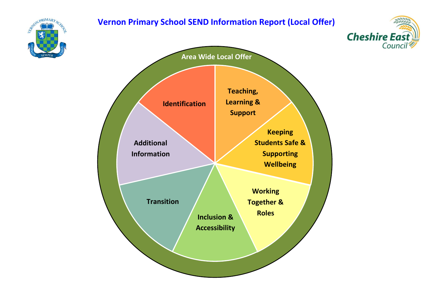# **Vernon Primary School SEND Information Report (Local Offer)**





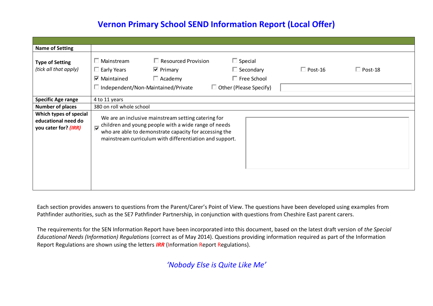# **Vernon Primary School SEND Information Report (Local Offer)**

| <b>Name of Setting</b>                                                |                                                  |                                                                                                                                                                                                                                  |                                                                                           |                |                |  |
|-----------------------------------------------------------------------|--------------------------------------------------|----------------------------------------------------------------------------------------------------------------------------------------------------------------------------------------------------------------------------------|-------------------------------------------------------------------------------------------|----------------|----------------|--|
| <b>Type of Setting</b><br>(tick all that apply)                       | Mainstream<br>Early Years<br>$\nabla$ Maintained | $\Box$ Resourced Provision<br>$\overline{\mathbf{v}}$ Primary<br>$\Box$ Academy<br>$\Box$ Independent/Non-Maintained/Private                                                                                                     | $\Box$ Special<br>$\Box$ Secondary<br>$\Box$ Free School<br>$\Box$ Other (Please Specify) | $\Box$ Post-16 | $\Box$ Post-18 |  |
| <b>Specific Age range</b>                                             | 4 to 11 years                                    |                                                                                                                                                                                                                                  |                                                                                           |                |                |  |
| <b>Number of places</b>                                               | 380 on roll whole school                         |                                                                                                                                                                                                                                  |                                                                                           |                |                |  |
| Which types of special<br>educational need do<br>you cater for? (IRR) | ⊽                                                | We are an inclusive mainstream setting catering for<br>children and young people with a wide range of needs<br>who are able to demonstrate capacity for accessing the<br>mainstream curriculum with differentiation and support. |                                                                                           |                |                |  |

Each section provides answers to questions from the Parent/Carer's Point of View. The questions have been developed using examples from Pathfinder authorities, such as the SE7 Pathfinder Partnership, in conjunction with questions from Cheshire East parent carers.

The requirements for the SEN Information Report have been incorporated into this document, based on the latest draft version of *the Special Educational Needs (Information) Regulations* (correct as of May 2014). Questions providing information required as part of the Information Report Regulations are shown using the letters *IRR* (Information Report Regulations).

*'Nobody Else is Quite Like Me'*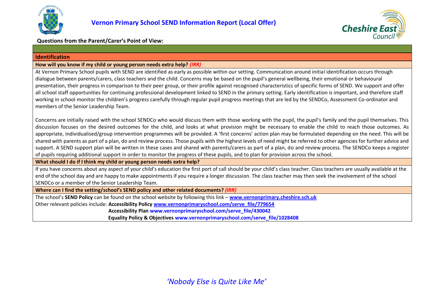



## **Questions from the Parent/Carer's Point of View:**

#### <span id="page-2-0"></span>**Identification**

#### **How will you know if my child or young person needs extra help?** *(IRR)*

At Vernon Primary School pupils with SEND are identified as early as possible within our setting. Communication around initial identification occurs through dialogue between parents/carers, class teachers and the child. Concerns may be based on the pupil's general wellbeing, their emotional or behavioural presentation, their progress in comparison to their peer group, or their profile against recognised characteristics of specific forms of SEND. We support and offer all school staff opportunities for continuing professional development linked to SEND in the primary setting. Early identification is important, and therefore staff working in school monitor the children's progress carefully through regular pupil progress meetings that are led by the SENDCo, Assessment Co-ordinator and members of the Senior Leadership Team.

Concerns are initially raised with the school SENDCo who would discuss them with those working with the pupil, the pupil's family and the pupil themselves. This discussion focuses on the desired outcomes for the child, and looks at what provision might be necessary to enable the child to reach those outcomes. As appropriate, individualised/group intervention programmes will be provided. A 'first concerns' action plan may be formulated depending on the need. This will be shared with parents as part of a plan, do and review process. Those pupils with the highest levels of need might be referred to other agencies for further advice and support. A SEND support plan will be written in these cases and shared with parents/carers as part of a plan, do and review process. The SENDCo keeps a register of pupils requiring additional support in order to monitor the progress of these pupils, and to plan for provision across the school.

**What should I do if I think my child or young person needs extra help?**

If you have concerns about any aspect of your child's education the first port of call should be your child's class teacher. Class teachers are usually available at the end of the school day and are happy to make appointments if you require a longer discussion. The class teacher may then seek the involvement of the school SENDCo or a member of the Senior Leadership Team.

**Where can I find the setting/school's SEND policy and other related documents?** *(IRR)*

The school's **SEND Policy** can be found on the school website by following this link – **[www.vernonprimary.cheshire.sch.uk](http://www.vernonprimary.cheshire.sch.uk/)** Other relevant policies include: **Accessibility Policy [www.vernonprimaryschool.com/serve\\_file/779654](http://www.vernonprimaryschool.com/serve_file/779654)**

**Accessibility Plan [www.vernonprimaryschool.com/serve\\_file/430042](http://www.vernonprimaryschool.com/serve_file/430042)**

**Equality Policy & Objectives www.vernonprimaryschool.com/serve\_file/1028408**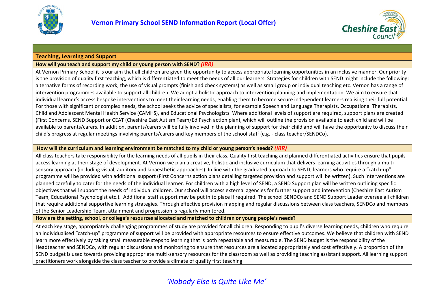



#### <span id="page-3-0"></span>**Teaching, Learning and Support**

#### **How will you teach and support my child or young person with SEND?** *(IRR)*

At Vernon Primary School it is our aim that all children are given the opportunity to access appropriate learning opportunities in an inclusive manner. Our priority is the provision of quality first teaching, which is differentiated to meet the needs of all our learners. Strategies for children with SEND might include the following: alternative forms of recording work; the use of visual prompts (finish and check systems) as well as small group or individual teaching etc. Vernon has a range of intervention programmes available to support all children. We adopt a holistic approach to intervention planning and implementation. We aim to ensure that individual learner's access bespoke interventions to meet their learning needs, enabling them to become secure independent learners realising their full potential. For those with significant or complex needs, the school seeks the advice of specialists, for example Speech and Language Therapists, Occupational Therapists, Child and Adolescent Mental Health Service (CAMHS), and Educational Psychologists. Where additional levels of support are required, support plans are created (First Concerns, SEND Support or CEAT (Cheshire East Autism Team/Ed Psych action plan), which will outline the provision available to each child and will be available to parents/carers. In addition, parents/carers will be fully involved in the planning of support for their child and will have the opportunity to discuss their child's progress at regular meetings involving parents/carers and key members of the school staff (e.g. - class teacher/SENDCo).

#### **How will the curriculum and learning environment be matched to my child or young person's needs?** *(IRR)*

All class teachers take responsibility for the learning needs of all pupils in their class. Quality first teaching and planned differentiated activities ensure that pupils access learning at their stage of development. At Vernon we plan a creative, holistic and inclusive curriculum that delivers learning activities through a multisensory approach (including visual, auditory and kinaesthetic approaches). In line with the graduated approach to SEND, learners who require a "catch-up" programme will be provided with additional support (First Concerns action plans detailing targeted provision and support will be written). Such interventions are planned carefully to cater for the needs of the individual learner. For children with a high level of SEND, a SEND Support plan will be written outlining specific objectives that will support the needs of individual children. Our school will access external agencies for further support and intervention (Cheshire East Autism Team, Educational Psychologist etc.). Additional staff support may be put in to place if required. The school SENDCo and SEND Support Leader oversee all children that require additional supportive learning strategies. Through effective provision mapping and regular discussions between class teachers, SENDCo and members of the Senior Leadership Team, attainment and progression is regularly monitored.

**How are the setting, school, or college's resources allocated and matched to children or young people's needs?** 

At each key stage, appropriately challenging programmes of study are provided for all children. Responding to pupil's diverse learning needs, children who require an individualised "catch-up" programme of support will be provided with appropriate resources to ensure effective outcomes. We believe that children with SEND learn more effectively by taking small measurable steps to learning that is both repeatable and measurable. The SEND budget is the responsibility of the Headteacher and SENDCo, with regular discussions and monitoring to ensure that resources are allocated appropriately and cost effectively. A proportion of the SEND budget is used towards providing appropriate multi-sensory resources for the classroom as well as providing teaching assistant support. All learning support practitioners work alongside the class teacher to provide a climate of quality first teaching.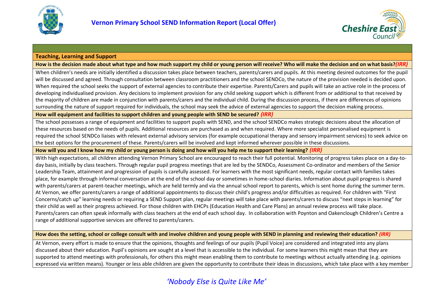



#### **Teaching, Learning and Support**

**How is the decision made about what type and how much support my child or young person will receive? Who will make the decision and on what basis?***(IRR)*

When children's needs are initially identified a discussion takes place between teachers, parents/carers and pupils. At this meeting desired outcomes for the pupil will be discussed and agreed. Through consultation between classroom practitioners and the school SENDCo, the nature of the provision needed is decided upon. When required the school seeks the support of external agencies to contribute their expertise. Parents/Carers and pupils will take an active role in the process of developing individualised provision. Any decisions to implement provision for any child seeking support which is different from or additional to that received by the majority of children are made in conjunction with parents/carers and the individual child. During the discussion process, if there are differences of opinions surrounding the nature of support required for individuals, the school may seek the advice of external agencies to support the decision making process.

**How will equipment and facilities to support children and young people with SEND be secured?** *(IRR)*

The school possesses a range of equipment and facilities to support pupils with SEND, and the school SENDCo makes strategic decisions about the allocation of these resources based on the needs of pupils. Additional resources are purchased as and when required. Where more specialist personalised equipment is required the school SENDCo liaises with relevant external advisory services (for example occupational therapy and sensory impairment services) to seek advice on the best options for the procurement of these. Parents/carers will be involved and kept informed wherever possible in these discussions.

**How will you and I know how my child or young person is doing and how will you help me to support their learning?** *(IRR)*

With high expectations, all children attending Vernon Primary School are encouraged to reach their full potential. Monitoring of progress takes place on a day-today basis, initially by class teachers. Through regular pupil progress meetings that are led by the SENDCo, Assessment Co-ordinator and members of the Senior Leadership Team, attainment and progression of pupils is carefully assessed. For learners with the most significant needs, regular contact with families takes place, for example through informal conversation at the end of the school day or sometimes in home-school diaries. Information about pupil progress is shared with parents/carers at parent-teacher meetings, which are held termly and via the annual school report to parents, which is sent home during the summer term. At Vernon, we offer parents/carers a range of additional appointments to discuss their child's progress and/or difficulties as required. For children with "First Concerns/catch up" learning needs or requiring a SEND Support plan, regular meetings will take place with parents/carers to discuss "next steps in learning" for their child as well as their progress achieved. For those children with EHCPs (Education Health and Care Plans) an annual review process will take place. Parents/carers can often speak informally with class teachers at the end of each school day. In collaboration with Poynton and Oakenclough Children's Centre a range of additional supportive services are offered to parents/carers.

**How does the setting, school or college consult with and involve children and young people with SEND in planning and reviewing their education?** *(IRR)*

At Vernon, every effort is made to ensure that the opinions, thoughts and feelings of our pupils (Pupil Voice) are considered and integrated into any plans discussed about their education. Pupil's opinions are sought at a level that is accessible to the individual. For some learners this might mean that they are supported to attend meetings with professionals, for others this might mean enabling them to contribute to meetings without actually attending (e.g. opinions expressed via written means). Younger or less able children are given the opportunity to contribute their ideas in discussions, which take place with a key member

# *'Nobody Else is Quite Like Me'*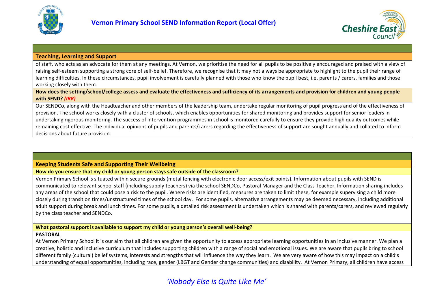



#### **Teaching, Learning and Support**

of staff, who acts as an advocate for them at any meetings. At Vernon, we prioritise the need for all pupils to be positively encouraged and praised with a view of raising self-esteem supporting a strong core of self-belief. Therefore, we recognise that it may not always be appropriate to highlight to the pupil their range of learning difficulties. In these circumstances, pupil involvement is carefully planned with those who know the pupil best, i.e. parents / carers, families and those working closely with them.

**How does the setting/school/college assess and evaluate the effectiveness and sufficiency of its arrangements and provision for children and young people with SEND?** *(IRR)*

Our SENDCo, along with the Headteacher and other members of the leadership team, undertake regular monitoring of pupil progress and of the effectiveness of provision. The school works closely with a cluster of schools, which enables opportunities for shared monitoring and provides support for senior leaders in undertaking rigorous monitoring. The success of intervention programmes in school is monitored carefully to ensure they provide high quality outcomes while remaining cost effective. The individual opinions of pupils and parents/carers regarding the effectiveness of support are sought annually and collated to inform decisions about future provision.

## <span id="page-5-0"></span>**Keeping Students Safe and Supporting Their Wellbeing**

**How do you ensure that my child or young person stays safe outside of the classroom?** 

Vernon Primary School is situated within secure grounds (metal fencing with electronic door access/exit points). Information about pupils with SEND is communicated to relevant school staff (including supply teachers) via the school SENDCo, Pastoral Manager and the Class Teacher. Information sharing includes any areas of the school that could pose a risk to the pupil. Where risks are identified, measures are taken to limit these, for example supervising a child more closely during transition times/unstructured times of the school day. For some pupils, alternative arrangements may be deemed necessary, including additional adult support during break and lunch times. For some pupils, a detailed risk assessment is undertaken which is shared with parents/carers, and reviewed regularly by the class teacher and SENDCo.

## **What pastoral support is available to support my child or young person's overall well-being?**

#### **PASTORAL**

At Vernon Primary School it is our aim that all children are given the opportunity to access appropriate learning opportunities in an inclusive manner. We plan a creative, holistic and inclusive curriculum that includes supporting children with a range of social and emotional issues. We are aware that pupils bring to school different family (cultural) belief systems, interests and strengths that will influence the way they learn. We are very aware of how this may impact on a child's understanding of equal opportunities, including race, gender (LBGT and Gender change communities) and disability. At Vernon Primary, all children have access

# *'Nobody Else is Quite Like Me'*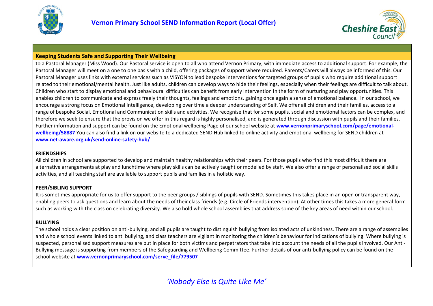



to a Pastoral Manager (Miss Wood). Our Pastoral service is open to all who attend Vernon Primary, with immediate access to additional support. For example, the Pastoral Manager will meet on a one to one basis with a child, offering packages of support where required. Parents/Carers will always be informed of this. Our Pastoral Manager uses links with external services such as VISYON to lead bespoke interventions for targeted groups of pupils who require additional support related to their emotional/mental health. Just like adults, children can develop ways to hide their feelings, especially when their feelings are difficult to talk about. Children who start to display emotional and behavioural difficulties can benefit from early intervention in the form of nurturing and play opportunities. This enables children to communicate and express freely their thoughts, feelings and emotions, gaining once again a sense of emotional balance. In our school, we encourage a strong focus on Emotional Intelligence, developing over time a deeper understanding of Self. We offer all children and their families, access to a range of bespoke Social, Emotional and Communication skills and activities. We recognise that for some pupils, social and emotional factors can be complex, and therefore we seek to ensure that the provision we offer in this regard is highly personalised, and is generated through discussion with pupils and their families. Further information and support can be found on the Emotional wellbeing Page of our school website at **[www.vernonprimaryschool.com/page/emotional](http://www.vernonprimaryschool.com/page/emotional-wellbeing/58887)[wellbeing/58887](http://www.vernonprimaryschool.com/page/emotional-wellbeing/58887)** You can also find a link on our website to a dedicated SEND Hub linked to online activity and emotional wellbeing for SEND children at **[www.net-aware.org.uk/send-online-safety-hub/](http://www.net-aware.org.uk/send-online-safety-hub/)**

## **FRIENDSHIPS**

All children in school are supported to develop and maintain healthy relationships with their peers. For those pupils who find this most difficult there are alternative arrangements at play and lunchtime where play skills can be actively taught or modelled by staff. We also offer a range of personalised social skills activities, and all teaching staff are available to support pupils and families in a holistic way.

## **PEER/SIBLING SUPPORT**

It is sometimes appropriate for us to offer support to the peer groups / siblings of pupils with SEND. Sometimes this takes place in an open or transparent way, enabling peers to ask questions and learn about the needs of their class friends (e.g. Circle of Friends intervention). At other times this takes a more general form such as working with the class on celebrating diversity. We also hold whole school assemblies that address some of the key areas of need within our school.

# **BULLYING**

The school holds a clear position on anti-bullying, and all pupils are taught to distinguish bullying from isolated acts of unkindness. There are a range of assemblies and whole school events linked to anti bullying, and class teachers are vigilant in monitoring the children's behaviour for indications of bullying. Where bullying is suspected, personalised support measures are put in place for both victims and perpetrators that take into account the needs of all the pupils involved. Our Anti-Bullying message is supporting from members of the Safeguarding and Wellbeing Committee. Further details of our anti-bullying policy can be found on the school website at **[www.vernonprimaryschool.com/serve\\_file/779507](http://www.vernonprimaryschool.com/serve_file/779507)**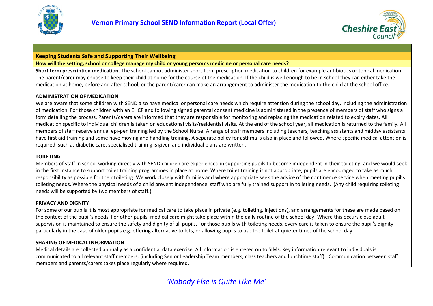



**How will the setting, school or college manage my child or young person's medicine or personal care needs?**

**Short term prescription medication.** The school cannot administer short term prescription medication to children for example antibiotics or topical medication. The parent/carer may choose to keep their child at home for the course of the medication. If the child is well enough to be in school they can either take the medication at home, before and after school, or the parent/carer can make an arrangement to administer the medication to the child at the school office.

## **ADMINISTRATION OF MEDICATION**

We are aware that some children with SEND also have medical or personal care needs which require attention during the school day, including the administration of medication. For those children with an EHCP and following signed parental consent medicine is administered in the presence of members of staff who signs a form detailing the process. Parents/carers are informed that they are responsible for monitoring and replacing the medication related to expiry dates. All medication specific to individual children is taken on educational visits/residential visits. At the end of the school year, all medication is returned to the family. All members of staff receive annual epi-pen training led by the School Nurse. A range of staff members including teachers, teaching assistants and midday assistants have first aid training and some have moving and handling training. A separate policy for asthma is also in place and followed. Where specific medical attention is required, such as diabetic care, specialised training is given and individual plans are written.

# **TOILETING**

Members of staff in school working directly with SEND children are experienced in supporting pupils to become independent in their toileting, and we would seek in the first instance to support toilet training programmes in place at home. Where toilet training is not appropriate, pupils are encouraged to take as much responsibility as possible for their toileting. We work closely with families and where appropriate seek the advice of the continence service when meeting pupil's toileting needs. Where the physical needs of a child prevent independence, staff who are fully trained support in toileting needs. (Any child requiring toileting needs will be supported by two members of staff.)

# **PRIVACY AND DIGNITY**

For some of our pupils it is most appropriate for medical care to take place in private (e.g. toileting, injections), and arrangements for these are made based on the context of the pupil's needs. For other pupils, medical care might take place within the daily routine of the school day. Where this occurs close adult supervision is maintained to ensure the safety and dignity of all pupils. For those pupils with toileting needs, every care is taken to ensure the pupil's dignity, particularly in the case of older pupils e.g. offering alternative toilets, or allowing pupils to use the toilet at quieter times of the school day.

# **SHARING OF MEDICAL INFORMATION**

Medical details are collected annually as a confidential data exercise. All information is entered on to SIMs. Key information relevant to individuals is communicated to all relevant staff members, (including Senior Leadership Team members, class teachers and lunchtime staff). Communication between staff members and parents/carers takes place regularly where required.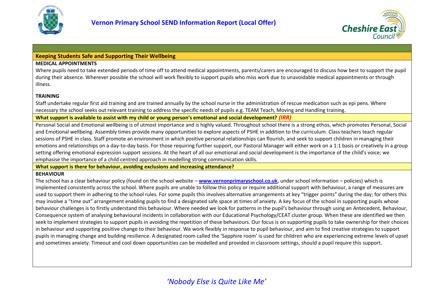



## **MEDICAL APPOINTMENTS**

Where pupils need to take extended periods of time off to attend medical appointments, parents/carers are encouraged to discuss how best to support the pupil during their absence. Wherever possible the school will work flexibly to support pupils who miss work due to unavoidable medical appointments or through illness.

# **TRAINING**

Staff undertake regular first aid training and are trained annually by the school nurse in the administration of rescue medication such as epi pens. Where necessary the school seeks out relevant training to address the specific needs of pupils e.g. TEAM Teach, Moving and Handling training.

**What support is available to assist with my child or young person's emotional and social development?** *(IRR)*

Personal Social and Emotional wellbeing is of utmost importance and is highly valued. Throughout school there is a strong ethos, which promotes Personal, Social and Emotional wellbeing. Assembly times provide many opportunities to explore aspects of PSHE in addition to the curriculum. Class teachers teach regular sessions of PSHE in class. Staff promote an environment in which positive personal relationships can flourish, and seek to support children in managing their emotions and relationships on a day-to-day basis. For those requiring further support, our Pastoral Manager will either work on a 1:1 basis or creatively in a group setting offering emotional expression support sessions. At the heart of all our emotional and social development is the importance of the child's voice; we emphasise the importance of a child centred approach in modelling strong communication skills.

**What support is there for behaviour, avoiding exclusions and increasing attendance?**

# **BEHAVIOUR**

The school has a clear behaviour policy (found on the school website – **[www.vernonprimaryschool.co.uk](http://www.vernonprimaryschool.co.uk/)**, under school information – policies) which is implemented consistently across the school. Where pupils are unable to follow this policy or require additional support with behaviour, a range of measures are used to support them in adhering to the school rules. For some pupils this involves alternative arrangements at key "trigger points" during the day; for others this may involve a "time out" arrangement enabling pupils to find a designated safe space at times of anxiety. A key focus of the school in supporting pupils whose behaviour challenges is to firstly understand this behaviour. Where needed we look for patterns in the pupil's behaviour through using an Antecedent, Behaviour, Consequence system of analysing behavioural incidents in collaboration with our Educational Psychology/CEAT cluster group. When these are identified we then seek to implement strategies to support pupils in avoiding the repetition of these behaviours. Our focus is on supporting pupils to take ownership for their choices in behaviour and supporting positive change to their behaviour. We work flexibly in response to pupil behaviour, and aim to find creative strategies to support pupils in managing change and building resilience. A designated room called the 'Sapphire room' is used for children who are experiencing extreme levels of upset and sometimes anxiety. Timeout and cool down opportunities can be modelled and provided in classroom settings, should a pupil require this support.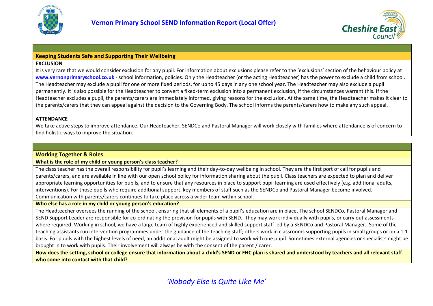



## **EXCLUSION**

It is very rare that we would consider exclusion for any pupil. For information about exclusions please refer to the 'exclusions' section of the behaviour policy at **[www.vernonprimaryschool.co.uk](http://www.vernonprimaryschool.co.uk/)** - school information, policies. Only the Headteacher (or the acting Headteacher) has the power to exclude a child from school. The Headteacher may exclude a pupil for one or more fixed periods, for up to 45 days in any one school year. The Headteacher may also exclude a pupil permanently. It is also possible for the Headteacher to convert a fixed-term exclusion into a permanent exclusion, if the circumstances warrant this. If the Headteacher excludes a pupil, the parents/carers are immediately informed, giving reasons for the exclusion. At the same time, the Headteacher makes it clear to the parents/carers that they can appeal against the decision to the Governing Body. The school informs the parents/carers how to make any such appeal.

# **ATTENDANCE**

We take active steps to improve attendance. Our Headteacher, SENDCo and Pastoral Manager will work closely with families where attendance is of concern to find holistic ways to improve the situation.

# <span id="page-9-0"></span>**Working Together & Roles**

**What is the role of my child or young person's class teacher?**

The class teacher has the overall responsibility for pupil's learning and their day-to-day wellbeing in school. They are the first port of call for pupils and parents/carers, and are available in line with our open school policy for information sharing about the pupil. Class teachers are expected to plan and deliver appropriate learning opportunities for pupils, and to ensure that any resources in place to support pupil learning are used effectively (e.g. additional adults, interventions). For those pupils who require additional support, key members of staff such as the SENDCo and Pastoral Manager become involved. Communication with parents/carers continues to take place across a wider team within school.

# **Who else has a role in my child or young person's education?**

The Headteacher oversees the running of the school, ensuring that all elements of a pupil's education are in place. The school SENDCo, Pastoral Manager and SEND Support Leader are responsible for co-ordinating the provision for pupils with SEND. They may work individually with pupils, or carry out assessments where required. Working in school, we have a large team of highly experienced and skilled support staff led by a SENDCo and Pastoral Manager. Some of the teaching assistants run intervention programmes under the guidance of the teaching staff; others work in classrooms supporting pupils in small groups or on a 1:1 basis. For pupils with the highest levels of need, an additional adult might be assigned to work with one pupil. Sometimes external agencies or specialists might be brought in to work with pupils. Their involvement will always be with the consent of the parent / carer.

**How does the setting, school or college ensure that information about a child's SEND or EHC plan is shared and understood by teachers and all relevant staff who come into contact with that child?**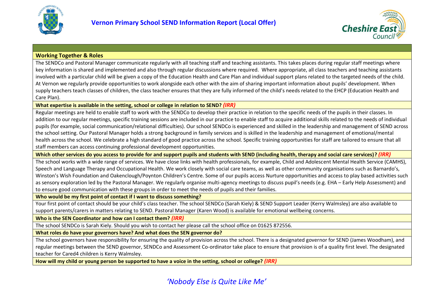



# **Working Together & Roles**

The SENDCo and Pastoral Manager communicate regularly with all teaching staff and teaching assistants. This takes places during regular staff meetings where key information is shared and implemented and also through regular discussions where required. Where appropriate, all class teachers and teaching assistants involved with a particular child will be given a copy of the Education Health and Care Plan and individual support plans related to the targeted needs of the child. At Vernon we regularly provide opportunities to work alongside each other with the aim of sharing important information about pupils' development. When supply teachers teach classes of children, the class teacher ensures that they are fully informed of the child's needs related to the EHCP (Education Health and Care Plan).

**What expertise is available in the setting, school or college in relation to SEND?** *(IRR)*

Regular meetings are held to enable staff to work with the SENDCo to develop their practice in relation to the specific needs of the pupils in their classes. In addition to our regular meetings, specific training sessions are included in our practice to enable staff to acquire additional skills related to the needs of individual pupils (for example, social communication/relational difficulties). Our school SENDCo is experienced and skilled in the leadership and management of SEND across the school setting. Our Pastoral Manager holds a strong background in family services and is skilled in the leadership and management of emotional/mental health across the school. We celebrate a high standard of good practice across the school. Specific training opportunities for staff are tailored to ensure that all staff members can access continuing professional development opportunities.

**Which other services do you access to provide for and support pupils and students with SEND (including health, therapy and social care services)?** *(IRR)*

The school works with a wide range of services. We have close links with health professionals, for example, Child and Adolescent Mental Health Service (CAMHS), Speech and Language Therapy and Occupational Health. We work closely with social care teams, as well as other community organisations such as Barnardo's, Winston's Wish Foundation and Oakenclough/Poynton Children's Centre. Some of our pupils access Nurture opportunities and access to play based activities such as sensory exploration led by the Pastoral Manager. We regularly organise multi-agency meetings to discuss pupil's needs (e.g. EHA – Early Help Assessment) and to ensure good communication with these groups in order to meet the needs of pupils and their families.

**Who would be my first point of contact if I want to discuss something?**

Your first point of contact should be your child's class teacher. The school SENDCo (Sarah Kiely) & SEND Support Leader (Kerry Walmsley) are also available to support parents/carers in matters relating to SEND. Pastoral Manager (Karen Wood) is available for emotional wellbeing concerns.

**Who is the SEN Coordinator and how can I contact them?** *(IRR)*

The school SENDCo is Sarah Kiely. Should you wish to contact her please call the school office on 01625 872556.

**What roles do have your governors have? And what does the SEN governor do?**

The school governors have responsibility for ensuring the quality of provision across the school. There is a designated governor for SEND (James Woodham), and regular meetings between the SEND governor, SENDCo and Assessment Co-ordinator take place to ensure that provision is of a quality first level. The designated teacher for Cared4 children is Kerry Walmsley.

**How will my child or young person be supported to have a voice in the setting, school or college?** *(IRR)*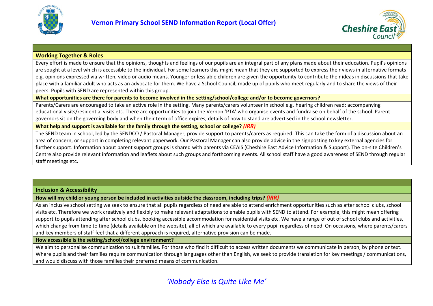



## **Working Together & Roles**

Every effort is made to ensure that the opinions, thoughts and feelings of our pupils are an integral part of any plans made about their education. Pupil's opinions are sought at a level which is accessible to the individual. For some learners this might mean that they are supported to express their views in alternative formats e.g. opinions expressed via written, video or audio means. Younger or less able children are given the opportunity to contribute their ideas in discussions that take place with a familiar adult who acts as an advocate for them. We have a School Council, made up of pupils who meet regularly and to share the views of their peers. Pupils with SEND are represented within this group.

**What opportunities are there for parents to become involved in the setting/school/college and/or to become governors?**

Parents/Carers are encouraged to take an active role in the setting. Many parents/carers volunteer in school e.g. hearing children read; accompanying educational visits/residential visits etc. There are opportunities to join the Vernon 'PTA' who organise events and fundraise on behalf of the school. Parent governors sit on the governing body and when their term of office expires, details of how to stand are advertised in the school newsletter.

**What help and support is available for the family through the setting, school or college?** *(IRR)*

The SEND team in school, led by the SENDCO / Pastoral Manager, provide support to parents/carers as required. This can take the form of a discussion about an area of concern, or support in completing relevant paperwork. Our Pastoral Manager can also provide advice in the signposting to key external agencies for further support. Information about parent support groups is shared with parents via CEAIS (Cheshire East Advice Information & Support). The on-site Children's Centre also provide relevant information and leaflets about such groups and forthcoming events. All school staff have a good awareness of SEND through regular staff meetings etc.

## <span id="page-11-0"></span>**Inclusion & Accessibility**

**How will my child or young person be included in activities outside the classroom, including trips?** *(IRR)*

As an inclusive school setting we seek to ensure that all pupils regardless of need are able to attend enrichment opportunities such as after school clubs, school visits etc. Therefore we work creatively and flexibly to make relevant adaptations to enable pupils with SEND to attend. For example, this might mean offering support to pupils attending after school clubs, booking accessible accommodation for residential visits etc. We have a range of out of school clubs and activities, which change from time to time (details available on the website), all of which are available to every pupil regardless of need. On occasions, where parents/carers and key members of staff feel that a different approach is required, alternative provision can be made.

## **How accessible is the setting/school/college environment?**

We aim to personalise communication to suit families. For those who find it difficult to access written documents we communicate in person, by phone or text. Where pupils and their families require communication through languages other than English, we seek to provide translation for key meetings / communications, and would discuss with those families their preferred means of communication.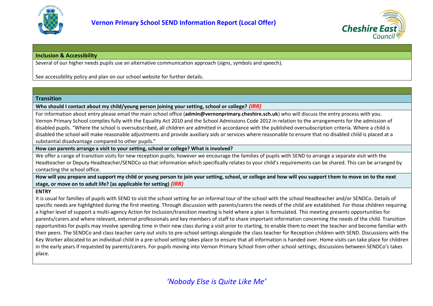



# **Inclusion & Accessibility**

Several of our higher needs pupils use an alternative communication approach (signs, symbols and speech).

See accessibility policy and plan on our school website for further details.

## <span id="page-12-0"></span>**Transition**

**Who should I contact about my child/young person joining your setting, school or college?** *(IRR)*

For information about entry please email the main school office (**admin@vernonprimary.cheshire.sch.uk**) who will discuss the entry process with you. Vernon Primary School complies fully with the Equality Act 2010 and the School Admissions Code 2012 in relation to the arrangements for the admission of disabled pupils. "Where the school is oversubscribed, all children are admitted in accordance with the published oversubscription criteria. Where a child is disabled the school will make reasonable adjustments and provide auxiliary aids or services where reasonable to ensure that no disabled child is placed at a substantial disadvantage compared to other pupils."

**How can parents arrange a visit to your setting, school or college? What is involved?**

We offer a range of transition visits for new reception pupils; however we encourage the families of pupils with SEND to arrange a separate visit with the Headteacher or Deputy Headteacher/SENDCo so that information which specifically relates to your child's requirements can be shared. This can be arranged by contacting the school office.

**How will you prepare and support my child or young person to join your setting, school, or college and how will you support them to move on to the next stage, or move on to adult life? (as applicable for setting)** *(IRR)*

## **ENTRY**

It is usual for families of pupils with SEND to visit the school setting for an informal tour of the school with the school Headteacher and/or SENDCo. Details of specific needs are highlighted during the first meeting. Through discussion with parents/carers the needs of the child are established. For those children requiring a higher level of support a multi-agency Action for Inclusion/transition meeting is held where a plan is formulated. This meeting presents opportunities for parents/carers and where relevant, external professionals and key members of staff to share important information concerning the needs of the child. Transition opportunities for pupils may involve spending time in their new class during a visit prior to starting, to enable them to meet the teacher and become familiar with their peers. The SENDCo and class teacher carry out visits to pre-school settings alongside the class teacher for Reception children with SEND. Discussions with the Key Worker allocated to an individual child in a pre-school setting takes place to ensure that all information is handed over. Home visits can take place for children in the early years if requested by parents/carers. For pupils moving into Vernon Primary School from other school settings, discussions between SENDCo's takes place.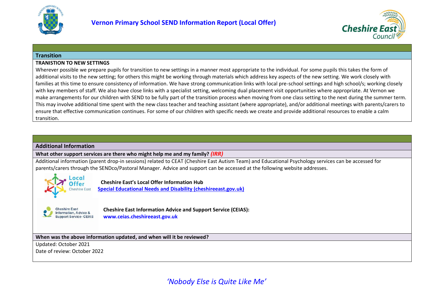



#### **Transition**

#### **TRANISTION TO NEW SETTINGS**

Wherever possible we prepare pupils for transition to new settings in a manner most appropriate to the individual. For some pupils this takes the form of additional visits to the new setting; for others this might be working through materials which address key aspects of the new setting. We work closely with families at this time to ensure consistency of information. We have strong communication links with local pre-school settings and high school/s; working closely with key members of staff. We also have close links with a specialist setting, welcoming dual placement visit opportunities where appropriate. At Vernon we make arrangements for our children with SEND to be fully part of the transition process when moving from one class setting to the next during the summer term. This may involve additional time spent with the new class teacher and teaching assistant (where appropriate), and/or additional meetings with parents/carers to ensure that effective communication continues. For some of our children with specific needs we create and provide additional resources to enable a calm transition.

#### <span id="page-13-0"></span>**Additional Information**

**What other support services are there who might help me and my family?** *(IRR)*

Additional information (parent drop-in sessions) related to CEAT (Cheshire East Autism Team) and Educational Psychology services can be accessed for parents/carers through the SENDco/Pastoral Manager. Advice and support can be accessed at the following website addresses.



#### **Cheshire East's Local Offer Information Hub**

**Special Educational Needs and Disability (cheshireeast.gov.uk)**



**Cheshire East Information Advice and Support Service (CEIAS): www.ceias.cheshireeast.gov.uk**

#### **When was the above information updated, and when will it be reviewed?**

Updated: October 2021 Date of review: October 2022